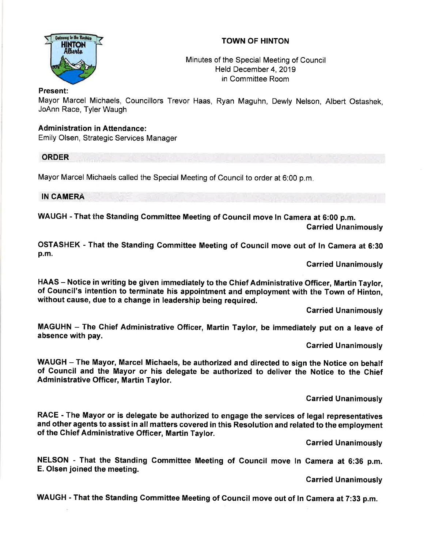## TOWN OF HINTON



Minutes of the Special Meeting of Council Held December 4, 2019 in Committee Room

## Present:

Mayor Marcel Michaels, Councillors Trevor Haas, Ryan Maguhn, Dewly Nelson, Albert Ostashek, JoAnn Race, Tyler Waugh

## Administration in Attendance:

Emily Olsen, Strategic Services Manager

ORDER

Mayor Marcel Michaels called the Special Meeting of Council to order at 6:00 p.m

IN CAMERA

WAUGH - That the Standing Committee Meeting of Council move ln Camera at 6:00 p.m. Garried Unanimously

OSTASHEK - That the Standing Committee Meeting of Gouncil move out of ln Gamera at 6:30 p.m.

Garried Unanimously

HAAS - Notice in writing be given immediately to the Chief Administrative Officer, Martin Taylor, of Gouncil's intention to terminate his appointment and employment with the Town of Hinton, without cause, due to a change in leadership being required.

Carried Unanimously

MAGUHN - The Ghief Administrative Officer, Martin Taylor, be immediately put on a leave of absence with pay.

Garried Unanimously

WAUGH - The Mayor, Marcel Michaels, be authorized and directed to sign the Notice on behalf of Council and the Mayor or his delegate be authorized to deliver the Notice to the Chief Administrative Officer, Martin Taylor.

Garried Unanimously

RACE - The Mayor or is delegate be authorized to engage the services of legal representatives and other agents to assist in all matters covered in this Resolution and related to the employment of the Chief Administrative Officer, Martin Taylor.

Carried Unanimously

NELSON - That the Standing Committee Meeting of Council move ln Camera at 6:36 p.m. E. Olsen joined the meeting.

Carried Unanimously

WAUGH - That the Standing Gommittee Meeting of Council move out of ln Camera at 7:33 p.m.